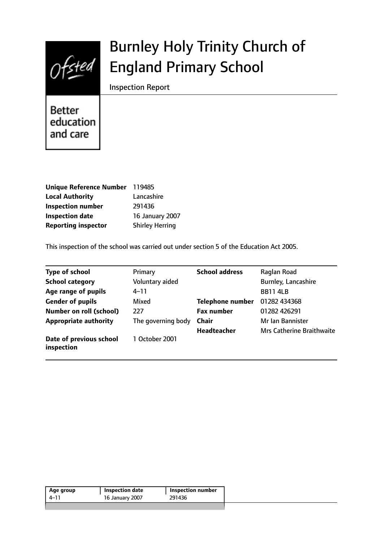

# Burnley Holy Trinity Church of England Primary School

Inspection Report

**Better** education and care

| Unique Reference Number 119485 |                        |
|--------------------------------|------------------------|
| <b>Local Authority</b>         | Lancashire             |
| <b>Inspection number</b>       | 291436                 |
| <b>Inspection date</b>         | <b>16 January 2007</b> |
| <b>Reporting inspector</b>     | <b>Shirley Herring</b> |

This inspection of the school was carried out under section 5 of the Education Act 2005.

| <b>Type of school</b>                 | Primary            | <b>School address</b>   | Raglan Road                      |
|---------------------------------------|--------------------|-------------------------|----------------------------------|
| <b>School category</b>                | Voluntary aided    |                         | <b>Burnley, Lancashire</b>       |
| Age range of pupils                   | $4 - 11$           |                         | <b>BB11 4LB</b>                  |
| <b>Gender of pupils</b>               | Mixed              | <b>Telephone number</b> | 01282 434368                     |
| <b>Number on roll (school)</b>        | 227                | <b>Fax number</b>       | 01282 426291                     |
| <b>Appropriate authority</b>          | The governing body | <b>Chair</b>            | Mr Ian Bannister                 |
|                                       |                    | <b>Headteacher</b>      | <b>Mrs Catherine Braithwaite</b> |
| Date of previous school<br>inspection | 1 October 2001     |                         |                                  |

| 291436<br>16 January 2007<br>4–11 | <b>Inspection number</b> |
|-----------------------------------|--------------------------|
|                                   |                          |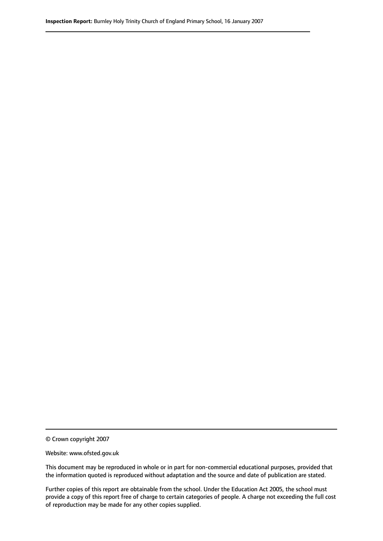© Crown copyright 2007

Website: www.ofsted.gov.uk

This document may be reproduced in whole or in part for non-commercial educational purposes, provided that the information quoted is reproduced without adaptation and the source and date of publication are stated.

Further copies of this report are obtainable from the school. Under the Education Act 2005, the school must provide a copy of this report free of charge to certain categories of people. A charge not exceeding the full cost of reproduction may be made for any other copies supplied.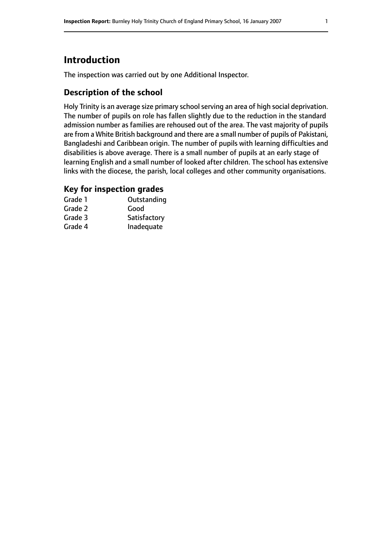# **Introduction**

The inspection was carried out by one Additional Inspector.

### **Description of the school**

Holy Trinity is an average size primary school serving an area of high social deprivation. The number of pupils on role has fallen slightly due to the reduction in the standard admission number as families are rehoused out of the area. The vast majority of pupils are from a White British background and there are a small number of pupils of Pakistani, Bangladeshi and Caribbean origin. The number of pupils with learning difficulties and disabilities is above average. There is a small number of pupils at an early stage of learning English and a small number of looked after children. The school has extensive links with the diocese, the parish, local colleges and other community organisations.

#### **Key for inspection grades**

| Grade 1 | Outstanding  |
|---------|--------------|
| Grade 2 | Good         |
| Grade 3 | Satisfactory |
| Grade 4 | Inadequate   |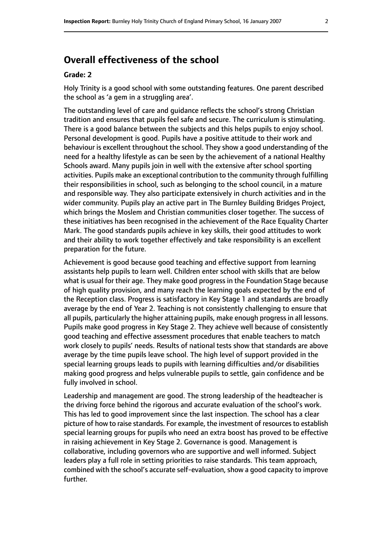# **Overall effectiveness of the school**

#### **Grade: 2**

Holy Trinity is a good school with some outstanding features. One parent described the school as 'a gem in a struggling area'.

The outstanding level of care and guidance reflects the school's strong Christian tradition and ensures that pupils feel safe and secure. The curriculum is stimulating. There is a good balance between the subjects and this helps pupils to enjoy school. Personal development is good. Pupils have a positive attitude to their work and behaviour is excellent throughout the school. They show a good understanding of the need for a healthy lifestyle as can be seen by the achievement of a national Healthy Schools award. Many pupils join in well with the extensive after school sporting activities. Pupils make an exceptional contribution to the community through fulfilling their responsibilities in school, such as belonging to the school council, in a mature and responsible way. They also participate extensively in church activities and in the wider community. Pupils play an active part in The Burnley Building Bridges Project, which brings the Moslem and Christian communities closer together. The success of these initiatives has been recognised in the achievement of the Race Equality Charter Mark. The good standards pupils achieve in key skills, their good attitudes to work and their ability to work together effectively and take responsibility is an excellent preparation for the future.

Achievement is good because good teaching and effective support from learning assistants help pupils to learn well. Children enter school with skills that are below what is usual for their age. They make good progress in the Foundation Stage because of high quality provision, and many reach the learning goals expected by the end of the Reception class. Progress is satisfactory in Key Stage 1 and standards are broadly average by the end of Year 2. Teaching is not consistently challenging to ensure that all pupils, particularly the higher attaining pupils, make enough progress in all lessons. Pupils make good progress in Key Stage 2. They achieve well because of consistently good teaching and effective assessment procedures that enable teachers to match work closely to pupils' needs. Results of national tests show that standards are above average by the time pupils leave school. The high level of support provided in the special learning groups leads to pupils with learning difficulties and/or disabilities making good progress and helps vulnerable pupils to settle, gain confidence and be fully involved in school.

Leadership and management are good. The strong leadership of the headteacher is the driving force behind the rigorous and accurate evaluation of the school's work. This has led to good improvement since the last inspection. The school has a clear picture of how to raise standards. For example, the investment of resourcesto establish special learning groups for pupils who need an extra boost has proved to be effective in raising achievement in Key Stage 2. Governance is good. Management is collaborative, including governors who are supportive and well informed. Subject leaders play a full role in setting priorities to raise standards. This team approach, combined with the school's accurate self-evaluation, show a good capacity to improve further.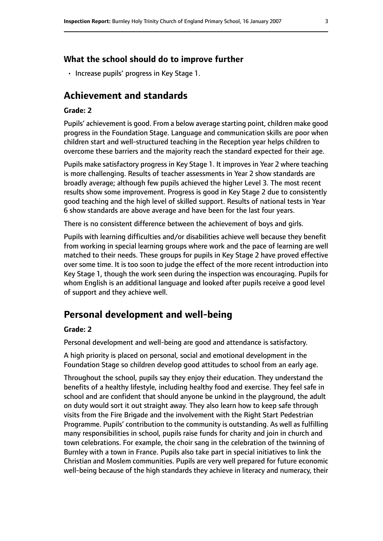#### **What the school should do to improve further**

• Increase pupils' progress in Key Stage 1.

# **Achievement and standards**

#### **Grade: 2**

Pupils' achievement is good. From a below average starting point, children make good progress in the Foundation Stage. Language and communication skills are poor when children start and well-structured teaching in the Reception year helps children to overcome these barriers and the majority reach the standard expected for their age.

Pupils make satisfactory progress in Key Stage 1. It improves in Year 2 where teaching is more challenging. Results of teacher assessments in Year 2 show standards are broadly average; although few pupils achieved the higher Level 3. The most recent results show some improvement. Progress is good in Key Stage 2 due to consistently good teaching and the high level of skilled support. Results of national tests in Year 6 show standards are above average and have been for the last four years.

There is no consistent difference between the achievement of boys and girls.

Pupils with learning difficulties and/or disabilities achieve well because they benefit from working in special learning groups where work and the pace of learning are well matched to their needs. These groups for pupils in Key Stage 2 have proved effective over some time. It is too soon to judge the effect of the more recent introduction into Key Stage 1, though the work seen during the inspection was encouraging. Pupils for whom English is an additional language and looked after pupils receive a good level of support and they achieve well.

# **Personal development and well-being**

#### **Grade: 2**

Personal development and well-being are good and attendance is satisfactory.

A high priority is placed on personal, social and emotional development in the Foundation Stage so children develop good attitudes to school from an early age.

Throughout the school, pupils say they enjoy their education. They understand the benefits of a healthy lifestyle, including healthy food and exercise. They feel safe in school and are confident that should anyone be unkind in the playground, the adult on duty would sort it out straight away. They also learn how to keep safe through visits from the Fire Brigade and the involvement with the Right Start Pedestrian Programme. Pupils' contribution to the community is outstanding. As well as fulfilling many responsibilities in school, pupils raise funds for charity and join in church and town celebrations. For example, the choir sang in the celebration of the twinning of Burnley with a town in France. Pupils also take part in special initiatives to link the Christian and Moslem communities. Pupils are very well prepared for future economic well-being because of the high standards they achieve in literacy and numeracy, their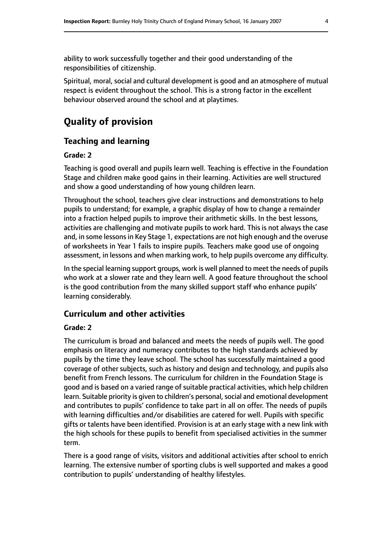ability to work successfully together and their good understanding of the responsibilities of citizenship.

Spiritual, moral, social and cultural development is good and an atmosphere of mutual respect is evident throughout the school. This is a strong factor in the excellent behaviour observed around the school and at playtimes.

# **Quality of provision**

#### **Teaching and learning**

#### **Grade: 2**

Teaching is good overall and pupils learn well. Teaching is effective in the Foundation Stage and children make good gains in their learning. Activities are well structured and show a good understanding of how young children learn.

Throughout the school, teachers give clear instructions and demonstrations to help pupils to understand; for example, a graphic display of how to change a remainder into a fraction helped pupils to improve their arithmetic skills. In the best lessons, activities are challenging and motivate pupils to work hard. This is not always the case and, in some lessons in Key Stage 1, expectations are not high enough and the overuse of worksheets in Year 1 fails to inspire pupils. Teachers make good use of ongoing assessment, in lessons and when marking work, to help pupils overcome any difficulty.

In the special learning support groups, work is well planned to meet the needs of pupils who work at a slower rate and they learn well. A good feature throughout the school is the good contribution from the many skilled support staff who enhance pupils' learning considerably.

#### **Curriculum and other activities**

#### **Grade: 2**

The curriculum is broad and balanced and meets the needs of pupils well. The good emphasis on literacy and numeracy contributes to the high standards achieved by pupils by the time they leave school. The school has successfully maintained a good coverage of other subjects, such as history and design and technology, and pupils also benefit from French lessons. The curriculum for children in the Foundation Stage is good and is based on a varied range of suitable practical activities, which help children learn. Suitable priority is given to children's personal, social and emotional development and contributes to pupils' confidence to take part in all on offer. The needs of pupils with learning difficulties and/or disabilities are catered for well. Pupils with specific gifts or talents have been identified. Provision is at an early stage with a new link with the high schools for these pupils to benefit from specialised activities in the summer term.

There is a good range of visits, visitors and additional activities after school to enrich learning. The extensive number of sporting clubs is well supported and makes a good contribution to pupils' understanding of healthy lifestyles.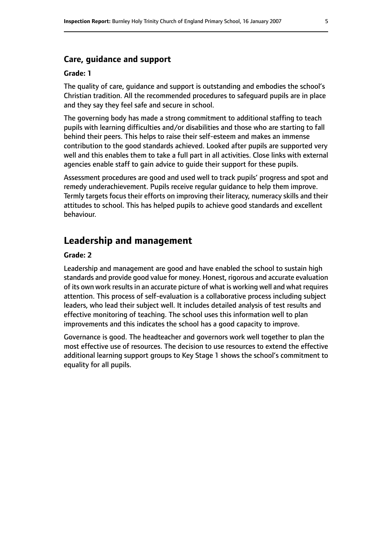#### **Grade: 1**

The quality of care, guidance and support is outstanding and embodies the school's Christian tradition. All the recommended procedures to safeguard pupils are in place and they say they feel safe and secure in school.

The governing body has made a strong commitment to additional staffing to teach pupils with learning difficulties and/or disabilities and those who are starting to fall behind their peers. This helps to raise their self-esteem and makes an immense contribution to the good standards achieved. Looked after pupils are supported very well and this enables them to take a full part in all activities. Close links with external agencies enable staff to gain advice to guide their support for these pupils.

Assessment procedures are good and used well to track pupils' progress and spot and remedy underachievement. Pupils receive regular guidance to help them improve. Termly targets focus their efforts on improving their literacy, numeracy skills and their attitudes to school. This has helped pupils to achieve good standards and excellent behaviour.

# **Leadership and management**

#### **Grade: 2**

Leadership and management are good and have enabled the school to sustain high standards and provide good value for money. Honest, rigorous and accurate evaluation of its own work results in an accurate picture of what is working well and what requires attention. This process of self-evaluation is a collaborative process including subject leaders, who lead their subject well. It includes detailed analysis of test results and effective monitoring of teaching. The school uses this information well to plan improvements and this indicates the school has a good capacity to improve.

Governance is good. The headteacher and governors work well together to plan the most effective use of resources. The decision to use resources to extend the effective additional learning support groups to Key Stage 1 shows the school's commitment to equality for all pupils.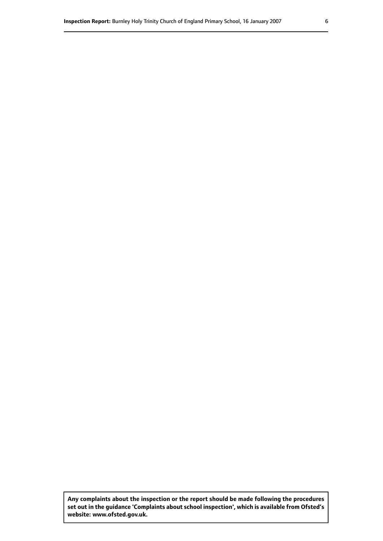**Any complaints about the inspection or the report should be made following the procedures set out inthe guidance 'Complaints about school inspection', whichis available from Ofsted's website: www.ofsted.gov.uk.**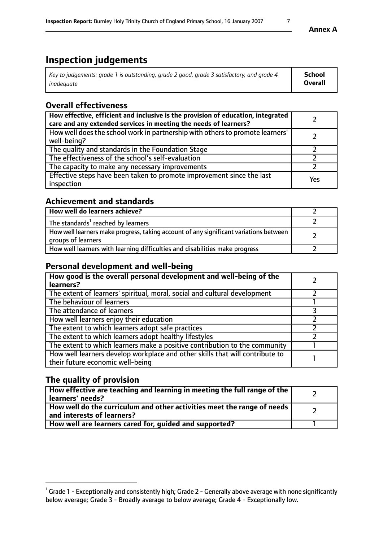# **Inspection judgements**

| Key to judgements: grade 1 is outstanding, grade 2 good, grade 3 satisfactory, and grade 4 | School  |
|--------------------------------------------------------------------------------------------|---------|
| inadeauate                                                                                 | Overall |

# **Overall effectiveness**

| How effective, efficient and inclusive is the provision of education, integrated<br>care and any extended services in meeting the needs of learners? |     |
|------------------------------------------------------------------------------------------------------------------------------------------------------|-----|
| How well does the school work in partnership with others to promote learners'<br>well-being?                                                         |     |
| The quality and standards in the Foundation Stage                                                                                                    |     |
| The effectiveness of the school's self-evaluation                                                                                                    |     |
| The capacity to make any necessary improvements                                                                                                      |     |
| Effective steps have been taken to promote improvement since the last<br>inspection                                                                  | Yes |

# **Achievement and standards**

| How well do learners achieve?                                                                               |  |
|-------------------------------------------------------------------------------------------------------------|--|
| The standards <sup>1</sup> reached by learners                                                              |  |
| How well learners make progress, taking account of any significant variations between<br>groups of learners |  |
| How well learners with learning difficulties and disabilities make progress                                 |  |

# **Personal development and well-being**

| How good is the overall personal development and well-being of the<br>learners?                                  |  |
|------------------------------------------------------------------------------------------------------------------|--|
| The extent of learners' spiritual, moral, social and cultural development                                        |  |
| The behaviour of learners                                                                                        |  |
| The attendance of learners                                                                                       |  |
| How well learners enjoy their education                                                                          |  |
| The extent to which learners adopt safe practices                                                                |  |
| The extent to which learners adopt healthy lifestyles                                                            |  |
| The extent to which learners make a positive contribution to the community                                       |  |
| How well learners develop workplace and other skills that will contribute to<br>their future economic well-being |  |

# **The quality of provision**

| How effective are teaching and learning in meeting the full range of the<br>learners' needs?          |  |
|-------------------------------------------------------------------------------------------------------|--|
| How well do the curriculum and other activities meet the range of needs<br>and interests of learners? |  |
| How well are learners cared for, guided and supported?                                                |  |

 $^1$  Grade 1 - Exceptionally and consistently high; Grade 2 - Generally above average with none significantly below average; Grade 3 - Broadly average to below average; Grade 4 - Exceptionally low.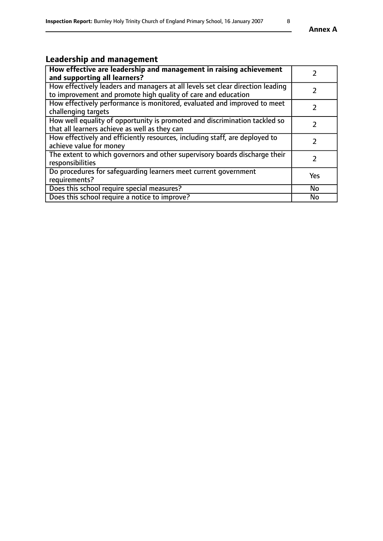# **Leadership and management**

| How effective are leadership and management in raising achievement<br>and supporting all learners?                                              |               |
|-------------------------------------------------------------------------------------------------------------------------------------------------|---------------|
| How effectively leaders and managers at all levels set clear direction leading<br>to improvement and promote high quality of care and education |               |
| How effectively performance is monitored, evaluated and improved to meet<br>challenging targets                                                 |               |
| How well equality of opportunity is promoted and discrimination tackled so<br>that all learners achieve as well as they can                     |               |
| How effectively and efficiently resources, including staff, are deployed to<br>achieve value for money                                          | $\mathcal{P}$ |
| The extent to which governors and other supervisory boards discharge their<br>responsibilities                                                  |               |
| Do procedures for safeguarding learners meet current government<br>requirements?                                                                | Yes           |
| Does this school require special measures?                                                                                                      | <b>No</b>     |
| Does this school require a notice to improve?                                                                                                   | <b>No</b>     |